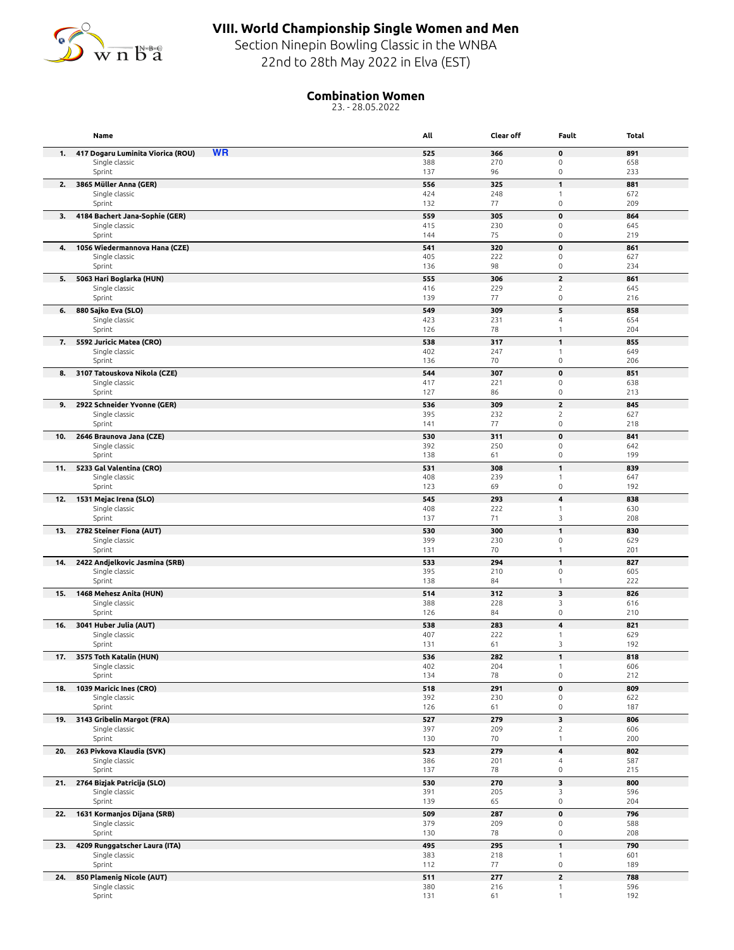

## **VIII. World Championship Single Women and Men**

Section Ninepin Bowling Classic in the WNBA 22nd to 28th May 2022 in Elva (EST)

## **Combination Women**

23. - 28.05.2022

|     | Name                                             | All        | Clear off  | Fault                               | Total      |
|-----|--------------------------------------------------|------------|------------|-------------------------------------|------------|
| 1.  | <b>WR</b><br>417 Dogaru Luminita Viorica (ROU)   | 525        | 366        | $\pmb{0}$                           | 891        |
|     | Single classic                                   | 388        | 270        | $\mathsf{O}\xspace$                 | 658        |
|     | Sprint                                           | 137        | 96         | $\mathsf{O}\xspace$                 | 233        |
| 2.  | 3865 Müller Anna (GER)                           | 556<br>424 | 325<br>248 | $\mathbf{1}$<br>$\mathbf{1}$        | 881        |
|     | Single classic<br>Sprint                         | 132        | 77         | $\mathsf{O}\xspace$                 | 672<br>209 |
| 3.  | 4184 Bachert Jana-Sophie (GER)                   | 559        | 305        | 0                                   | 864        |
|     | Single classic                                   | 415        | 230        | $\mathsf{O}\xspace$                 | 645        |
|     | Sprint                                           | 144        | 75         | $\mathsf{O}\xspace$                 | 219        |
| 4.  | 1056 Wiedermannova Hana (CZE)                    | 541        | 320        | $\pmb{0}$                           | 861        |
|     | Single classic<br>Sprint                         | 405<br>136 | 222<br>98  | $\mathsf{O}\xspace$<br>$\mathsf 0$  | 627<br>234 |
| 5.  | 5063 Hari Boglarka (HUN)                         | 555        | 306        | $\overline{\mathbf{c}}$             | 861        |
|     | Single classic                                   | 416        | 229        | $\overline{c}$                      | 645        |
|     | Sprint                                           | 139        | 77         | $\mathsf{O}\xspace$                 | 216        |
| 6.  | 880 Sajko Eva (SLO)                              | 549        | 309        | 5                                   | 858        |
|     | Single classic                                   | 423        | 231        | 4                                   | 654        |
|     | Sprint                                           | 126        | 78<br>317  | $\mathbf{1}$<br>$\mathbf{1}$        | 204        |
| 7.  | 5592 Juricic Matea (CRO)<br>Single classic       | 538<br>402 | 247        | $\mathbf{1}$                        | 855<br>649 |
|     | Sprint                                           | 136        | 70         | $\mathsf{O}\xspace$                 | 206        |
| 8.  | 3107 Tatouskova Nikola (CZE)                     | 544        | 307        | $\pmb{0}$                           | 851        |
|     | Single classic                                   | 417        | 221        | $\mathsf{O}\xspace$                 | 638        |
|     | Sprint                                           | 127        | 86         | $\mathsf{O}\xspace$                 | 213        |
|     | 9. 2922 Schneider Yvonne (GER)<br>Single classic | 536<br>395 | 309<br>232 | $\mathbf{2}$<br>$\overline{c}$      | 845<br>627 |
|     | Sprint                                           | 141        | 77         | $\mathsf{O}\xspace$                 | 218        |
| 10. | 2646 Braunova Jana (CZE)                         | 530        | 311        | $\mathbf 0$                         | 841        |
|     | Single classic                                   | 392        | 250        | 0                                   | 642        |
|     | Sprint                                           | 138        | 61         | $\mathsf 0$                         | 199        |
| 11. | 5233 Gal Valentina (CRO)                         | 531        | 308        | $\mathbf{1}$                        | 839        |
|     | Single classic<br>Sprint                         | 408<br>123 | 239<br>69  | $\mathbf{1}$<br>$\mathsf{O}\xspace$ | 647<br>192 |
| 12. | 1531 Mejac Irena (SLO)                           | 545        | 293        | 4                                   | 838        |
|     | Single classic                                   | 408        | 222        | $\mathbf{1}$                        | 630        |
|     | Sprint                                           | 137        | 71         | 3                                   | 208        |
| 13. | 2782 Steiner Fiona (AUT)                         | 530        | 300        | $\mathbf{1}$                        | 830        |
|     | Single classic<br>Sprint                         | 399<br>131 | 230<br>70  | $\mathsf 0$<br>1                    | 629<br>201 |
| 14. | 2422 Andjelkovic Jasmina (SRB)                   | 533        | 294        | $\mathbf{1}$                        | 827        |
|     | Single classic                                   | 395        | 210        | $\mathsf 0$                         | 605        |
|     | Sprint                                           | 138        | 84         | $\mathbf{1}$                        | 222        |
| 15. | 1468 Mehesz Anita (HUN)                          | 514        | 312        | 3                                   | 826        |
|     | Single classic<br>Sprint                         | 388<br>126 | 228<br>84  | 3<br>$\mathsf{O}\xspace$            | 616<br>210 |
| 16. | 3041 Huber Julia (AUT)                           | 538        | 283        | 4                                   | 821        |
|     | Single classic                                   | 407        | 222        | $\mathbf{1}$                        | 629        |
|     | Sprint                                           | 131        | 61         | 3                                   | 192        |
|     | 17. 3575 Toth Katalin (HUN)                      | 536        | 282        | $\mathbf{1}$                        | 818        |
|     | Single classic                                   | 402        | 204        | 1<br>$\mathsf{O}\xspace$            | 606<br>212 |
| 18. | Sprint<br>1039 Maricic Ines (CRO)                | 134<br>518 | 78<br>291  | $\pmb{0}$                           | 809        |
|     | Single classic                                   | 392        | 230        | $\mathsf{O}\xspace$                 | 622        |
|     | Sprint                                           | 126        | 61         | $\mathsf{O}\xspace$                 | 187        |
|     | 19. 3143 Gribelin Margot (FRA)                   | 527        | 279        | 3                                   | 806        |
|     | Single classic                                   | 397        | 209        | $\overline{c}$                      | 606        |
|     | Sprint                                           | 130        | 70         | $\mathbf{1}$                        | 200        |
|     | 20. 263 Pivkova Klaudia (SVK)<br>Single classic  | 523<br>386 | 279<br>201 | 4<br>4                              | 802<br>587 |
|     | Sprint                                           | 137        | 78         | $\mathsf{O}\xspace$                 | 215        |
|     | 21. 2764 Bizjak Patricija (SLO)                  | 530        | 270        | 3                                   | 800        |
|     | Single classic                                   | 391        | 205        | 3                                   | 596        |
|     | Sprint                                           | 139        | 65         | $\mathsf{O}\xspace$                 | 204        |
| 22. | 1631 Kormanjos Dijana (SRB)<br>Single classic    | 509<br>379 | 287<br>209 | $\pmb{0}$<br>$\mathsf{O}\xspace$    | 796<br>588 |
|     | Sprint                                           | 130        | 78         | $\mathsf{O}\xspace$                 | 208        |
| 23. | 4209 Runggatscher Laura (ITA)                    | 495        | 295        | $\mathbf{1}$                        | 790        |
|     | Single classic                                   | 383        | 218        | $\mathbf{1}$                        | 601        |
|     | Sprint                                           | 112        | 77         | $\mathsf{O}\xspace$                 | 189        |
| 24. | 850 Plamenig Nicole (AUT)                        | 511        | 277        | $\mathbf{z}$                        | 788        |
|     | Single classic<br>Sprint                         | 380<br>131 | 216<br>61  | $\mathbf{1}$<br>$\mathbf{1}$        | 596<br>192 |
|     |                                                  |            |            |                                     |            |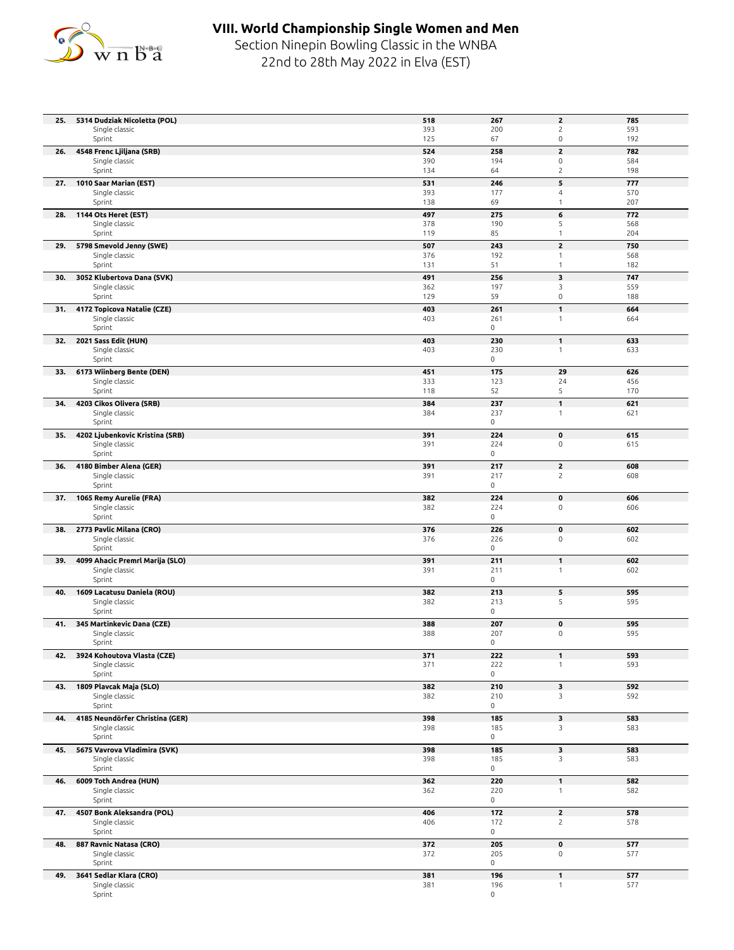

## **VIII. World Championship Single Women and Men**

Section Ninepin Bowling Classic in the WNBA 22nd to 28th May 2022 in Elva (EST)

| 25. | 5314 Dudziak Nicoletta (POL)                   | 518        | 267                        | $\mathbf{z}$                      | 785        |
|-----|------------------------------------------------|------------|----------------------------|-----------------------------------|------------|
|     | Single classic<br>Sprint                       | 393<br>125 | 200<br>67                  | $\sqrt{2}$<br>$\mathsf{O}\xspace$ | 593<br>192 |
| 26. | 4548 Frenc Ljiljana (SRB)                      | 524        | 258                        | $\overline{\mathbf{c}}$           | 782        |
|     | Single classic                                 | 390        | 194                        | $\mathsf 0$                       | 584        |
|     | Sprint                                         | 134        | 64                         | $\overline{c}$                    | 198        |
| 27. | 1010 Saar Marian (EST)                         | 531        | 246                        | 5                                 | 777        |
|     | Single classic                                 | 393        | 177                        | $\overline{4}$                    | 570        |
|     | Sprint                                         | 138        | 69                         | $\mathbf{1}$                      | 207        |
| 28. | 1144 Ots Heret (EST)<br>Single classic         | 497<br>378 | 275<br>190                 | 6<br>5                            | 772<br>568 |
|     | Sprint                                         | 119        | 85                         | $\mathbf{1}$                      | 204        |
|     | 29. 5798 Smevold Jenny (SWE)                   | 507        | 243                        | $\overline{\mathbf{c}}$           | 750        |
|     | Single classic                                 | 376        | 192                        | $\mathbf{1}$                      | 568        |
|     | Sprint                                         | 131        | 51                         | $\mathbf{1}$                      | 182        |
| 30. | 3052 Klubertova Dana (SVK)<br>Single classic   | 491<br>362 | 256<br>197                 | 3<br>3                            | 747<br>559 |
|     | Sprint                                         | 129        | 59                         | $\mathsf{O}\xspace$               | 188        |
| 31. | 4172 Topicova Natalie (CZE)                    | 403        | 261                        | $\mathbf{1}$                      | 664        |
|     | Single classic                                 | 403        | 261                        | $\mathbf{1}$                      | 664        |
| 32. | Sprint<br>2021 Sass Edit (HUN)                 | 403        | $\mathsf{O}$<br>230        | $\mathbf{1}$                      | 633        |
|     | Single classic                                 | 403        | 230                        | $\mathbf{1}$                      | 633        |
|     | Sprint                                         |            | 0                          |                                   |            |
| 33. | 6173 Wiinberg Bente (DEN)                      | 451        | 175                        | 29                                | 626        |
|     | Single classic                                 | 333        | 123                        | 24                                | 456<br>170 |
| 34. | Sprint<br>4203 Cikos Olivera (SRB)             | 118<br>384 | 52<br>237                  | 5<br>$\mathbf{1}$                 | 621        |
|     | Single classic                                 | 384        | 237                        | $\mathbf{1}$                      | 621        |
|     | Sprint                                         |            | $\mathsf{O}\xspace$        |                                   |            |
| 35. | 4202 Ljubenkovic Kristina (SRB)                | 391        | 224                        | $\pmb{0}$                         | 615        |
|     | Single classic<br>Sprint                       | 391        | 224<br>$\mathsf{O}\xspace$ | $\mathsf 0$                       | 615        |
| 36. | 4180 Bimber Alena (GER)                        | 391        | 217                        | $\overline{\mathbf{c}}$           | 608        |
|     | Single classic                                 | 391        | 217                        | $\overline{c}$                    | 608        |
|     | Sprint                                         |            | 0                          |                                   |            |
|     | 37. 1065 Remy Aurelie (FRA)                    | 382        | 224                        | $\pmb{0}$                         | 606        |
|     | Single classic<br>Sprint                       | 382        | 224<br>$\mathsf{O}\xspace$ | $\mathsf 0$                       | 606        |
| 38. | 2773 Pavlic Milana (CRO)                       | 376        | 226                        | $\pmb{0}$                         | 602        |
|     | Single classic                                 | 376        | 226                        | $\mathsf 0$                       | 602        |
|     | Sprint                                         |            | $\mathsf{O}$               |                                   |            |
| 39. | 4099 Ahacic Premrl Marija (SLO)                | 391        | 211                        | $\mathbf{1}$                      | 602        |
|     | Single classic<br>Sprint                       | 391        | 211<br>$\mathsf{O}\xspace$ | $\mathbf{1}$                      | 602        |
| 40. | 1609 Lacatusu Daniela (ROU)                    | 382        | 213                        | 5                                 | 595        |
|     | Single classic                                 | 382        | 213                        | 5                                 | 595        |
|     | Sprint                                         |            | 0                          |                                   |            |
|     | 41. 345 Martinkevic Dana (CZE)                 | 388        | 207                        | $\pmb{0}$                         | 595        |
|     | Single classic<br>Sprint                       | 388        | 207<br>$\mathsf{O}$        | $\mathsf 0$                       | 595        |
|     | 42. 3924 Kohoutova Vlasta (CZE)                | 371        | 222                        |                                   | 593        |
|     | Single classic                                 | 371        | 222                        | $\mathbf{1}$                      | 593        |
|     | Sprint                                         |            | $\mathsf{O}$               |                                   |            |
| 43. | 1809 Plavcak Maja (SLO)<br>Single classic      | 382<br>382 | 210<br>210                 | 3<br>3                            | 592<br>592 |
|     | Sprint                                         |            | $\mathsf{O}\xspace$        |                                   |            |
| 44. | 4185 Neundörfer Christina (GER)                | 398        | 185                        | 3                                 | 583        |
|     | Single classic                                 | 398        | 185                        | 3                                 | 583        |
|     | Sprint                                         |            | 0                          |                                   |            |
| 45. | 5675 Vavrova Vladimira (SVK)<br>Single classic | 398<br>398 | 185<br>185                 | 3<br>3                            | 583<br>583 |
|     | Sprint                                         |            | 0                          |                                   |            |
| 46. | 6009 Toth Andrea (HUN)                         | 362        | 220                        | $\mathbf{1}$                      | 582        |
|     | Single classic                                 | 362        | 220                        | $\mathbf{1}$                      | 582        |
|     | Sprint                                         |            | 0                          |                                   |            |
| 47. | 4507 Bonk Aleksandra (POL)<br>Single classic   | 406<br>406 | 172<br>172                 | $\overline{2}$<br>$\overline{c}$  | 578<br>578 |
|     | Sprint                                         |            | $\mathsf{O}$               |                                   |            |
| 48. | 887 Ravnic Natasa (CRO)                        | 372        | 205                        | $\pmb{0}$                         | 577        |
|     | Single classic                                 | 372        | 205                        | 0                                 | 577        |
|     | Sprint                                         |            | 0                          |                                   |            |
| 49. | 3641 Sedlar Klara (CRO)<br>Single classic      | 381<br>381 | 196<br>196                 | $\mathbf{1}$<br>$\mathbf{1}$      | 577<br>577 |
|     | Sprint                                         |            | 0                          |                                   |            |
|     |                                                |            |                            |                                   |            |